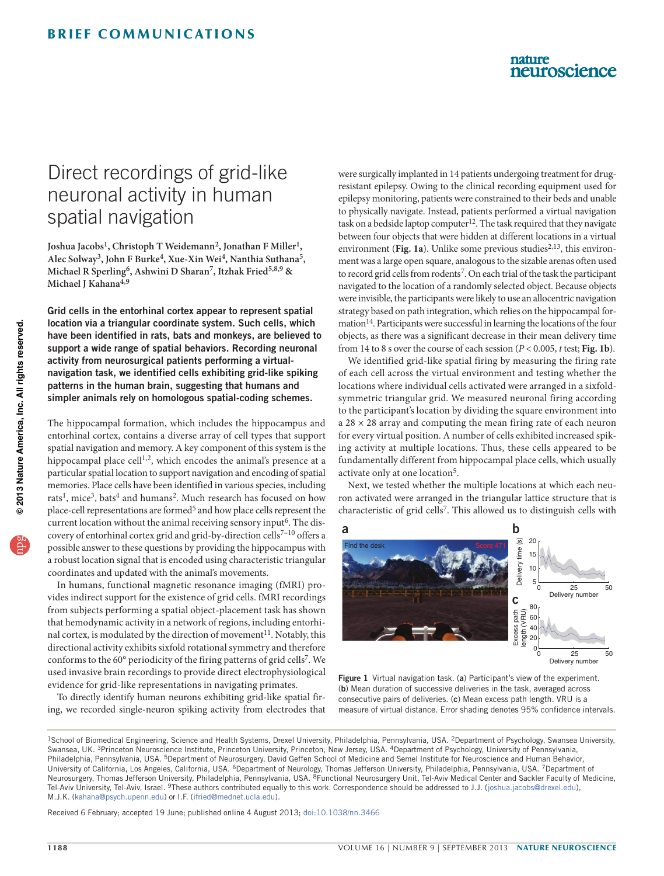## nature neuroscience

# Direct recordings of grid-like neuronal activity in human spatial navigation

**Joshua Jacobs1, Christoph T Weidemann2, Jonathan F Miller1, Alec Solway3, John F Burke4, Xue-Xin Wei4, Nanthia Suthana5, Michael R Sperling6, Ashwini D Sharan7, Itzhak Fried5,8,9 & Michael J Kahana4,9**

Grid cells in the entorhinal cortex appear to represent spatial location via a triangular coordinate system. Such cells, which have been identified in rats, bats and monkeys, are believed to support a wide range of spatial behaviors. Recording neuronal activity from neurosurgical patients performing a virtualnavigation task, we identified cells exhibiting grid-like spiking patterns in the human brain, suggesting that humans and simpler animals rely on homologous spatial-coding schemes.

The hippocampal formation, which includes the hippocampus and entorhinal cortex, contains a diverse array of cell types that support spatial navigation and memory. A key component of this system is the hippocampal place cell<sup>[1,](#page-2-0)[2](#page-2-1)</sup>, which encodes the animal's presence at a particular spatial location to support navigation and encoding of spatial memories. Place cells have been identified in various species, including rats<sup>[1](#page-2-0)</sup>, mice<sup>3</sup>, bats<sup>4</sup> and humans<sup>2</sup>. Much research has focused on how place-cell representations are formed<sup>5</sup> and how place cells represent the current location without the animal receiving sensory input<sup>[6](#page-2-5)</sup>. The discovery of entorhinal cortex grid and grid-by-direction cells<sup>7-10</sup> offers a possible answer to these questions by providing the hippocampus with a robust location signal that is encoded using characteristic triangular coordinates and updated with the animal's movements.

In humans, functional magnetic resonance imaging (fMRI) provides indirect support for the existence of grid cells. fMRI recordings from subjects performing a spatial object-placement task has shown that hemodynamic activity in a network of regions, including entorhi-nal cortex, is modulated by the direction of movement<sup>[11](#page-2-7)</sup>. Notably, this directional activity exhibits sixfold rotational symmetry and therefore conforms to the 60° periodicity of the firing patterns of grid cells<sup>7</sup>. We used invasive brain recordings to provide direct electrophysiological evidence for grid-like representations in navigating primates.

To directly identify human neurons exhibiting grid-like spatial firing, we recorded single-neuron spiking activity from electrodes that

were surgically implanted in 14 patients undergoing treatment for drugresistant epilepsy. Owing to the clinical recording equipment used for epilepsy monitoring, patients were constrained to their beds and unable to physically navigate. Instead, patients performed a virtual navigation task on a bedside laptop computer<sup>12</sup>. The task required that they navigate between four objects that were hidden at different locations in a virtual environment (**[Fig. 1a](#page-0-0)**). Unlike some previous studies<sup> $2,13$  $2,13$ </sup>, this environment was a large open square, analogous to the sizable arenas often used to record grid cells from rodents<sup>7</sup>. On each trial of the task the participant navigated to the location of a randomly selected object. Because objects were invisible, the participants were likely to use an allocentric navigation strategy based on path integration, which relies on the hippocampal formation<sup>14</sup>. Participants were successful in learning the locations of the four objects, as there was a significant decrease in their mean delivery time from 14 to 8 s over the course of each session  $(P < 0.005, t \text{ test}; \text{Fig. 1b}).$  $(P < 0.005, t \text{ test}; \text{Fig. 1b}).$  $(P < 0.005, t \text{ test}; \text{Fig. 1b}).$ 

We identified grid-like spatial firing by measuring the firing rate of each cell across the virtual environment and testing whether the locations where individual cells activated were arranged in a sixfoldsymmetric triangular grid. We measured neuronal firing according to the participant's location by dividing the square environment into  $a$  28  $\times$  28 array and computing the mean firing rate of each neuron for every virtual position. A number of cells exhibited increased spiking activity at multiple locations. Thus, these cells appeared to be fundamentally different from hippocampal place cells, which usually activate only at one location[5.](#page-2-4)

Next, we tested whether the multiple locations at which each neuron activated were arranged in the triangular lattice structure that is characteristic of grid cells<sup>7</sup>. This allowed us to distinguish cells with



<span id="page-0-0"></span>Figure 1 Virtual navigation task. (a) Participant's view of the experiment. (b) Mean duration of successive deliveries in the task, averaged across consecutive pairs of deliveries. (c) Mean excess path length. VRU is a measure of virtual distance. Error shading denotes 95% confidence intervals.

Received 6 February; accepted 19 June; published online 4 August 2013; [doi:10.1038/nn.3466](http://www.nature.com/doifinder/10.1038/nn.3466)

<sup>&</sup>lt;sup>1</sup>School of Biomedical Engineering, Science and Health Systems, Drexel University, Philadelphia, Pennsylvania, USA. <sup>2</sup>Department of Psychology, Swansea University, Swansea, UK. <sup>3</sup>Princeton Neuroscience Institute, Princeton University, Princeton, New Jersey, USA. <sup>4</sup>Department of Psychology, University of Pennsylvania, Philadelphia, Pennsylvania, USA. 5Department of Neurosurgery, David Geffen School of Medicine and Semel Institute for Neuroscience and Human Behavior, University of California, Los Angeles, California, USA. 6Department of Neurology, Thomas Jefferson University, Philadelphia, Pennsylvania, USA. 7Department of Neurosurgery, Thomas Jefferson University, Philadelphia, Pennsylvania, USA. <sup>8</sup>Functional Neurosurgery Unit, Tel-Aviv Medical Center and Sackler Faculty of Medicine, Tel-Aviv University, Tel-Aviv, Israel. 9These authors contributed equally to this work. Correspondence should be addressed to J.J. (joshua.jacobs@drexel.edu), M.J.K. (kahana@psych.upenn.edu) or I.F. (ifried@mednet.ucla.edu).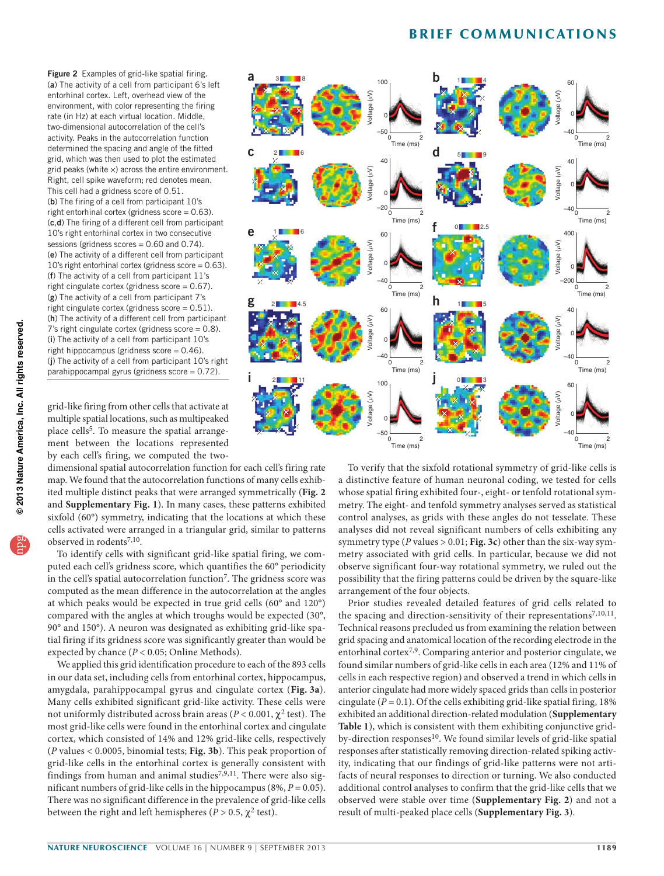# **BRIEF COMMUNICATIONS**

<span id="page-1-0"></span>Figure 2 Examples of grid-like spatial firing. (a) The activity of a cell from participant 6's left entorhinal cortex. Left, overhead view of the environment, with color representing the firing rate (in Hz) at each virtual location. Middle, two-dimensional autocorrelation of the cell's activity. Peaks in the autocorrelation function determined the spacing and angle of the fitted grid, which was then used to plot the estimated grid peaks (white  $\times$ ) across the entire environment. Right, cell spike waveform; red denotes mean. This cell had a gridness score of 0.51. (b) The firing of a cell from participant 10's right entorhinal cortex (gridness score  $= 0.63$ ). (c,d) The firing of a different cell from participant 10's right entorhinal cortex in two consecutive sessions (gridness scores = 0.60 and 0.74). (e) The activity of a different cell from participant 10's right entorhinal cortex (gridness score = 0.63). (f) The activity of a cell from participant 11's right cingulate cortex (gridness score = 0.67). (g) The activity of a cell from participant 7's right cingulate cortex (gridness score  $= 0.51$ ). (h) The activity of a different cell from participant 7's right cingulate cortex (gridness score = 0.8). (i) The activity of a cell from participant 10's right hippocampus (gridness score  $= 0.46$ ). (j) The activity of a cell from participant 10's right parahippocampal gyrus (gridness score = 0.72).

grid-like firing from other cells that activate at multiple spatial locations, such as multipeaked place cells<sup>5</sup>. To measure the spatial arrangement between the locations represented by each cell's firing, we computed the two-

dimensional spatial autocorrelation function for each cell's firing rate map. We found that the autocorrelation functions of many cells exhibited multiple distinct peaks that were arranged symmetrically (**[Fig. 2](#page-1-0)** and **Supplementary Fig. 1**). In many cases, these patterns exhibited sixfold (60°) symmetry, indicating that the locations at which these cells activated were arranged in a triangular grid, similar to patterns observed in rodents[7,](#page-2-6)[10](#page-2-10).

To identify cells with significant grid-like spatial firing, we computed each cell's gridness score, which quantifies the 60° periodicity in the cell's spatial autocorrelation function[7](#page-2-6). The gridness score was computed as the mean difference in the autocorrelation at the angles at which peaks would be expected in true grid cells (60° and 120°) compared with the angles at which troughs would be expected (30°, 90° and 150°). A neuron was designated as exhibiting grid-like spatial firing if its gridness score was significantly greater than would be expected by chance (*P* < 0.05; Online Methods).

We applied this grid identification procedure to each of the 893 cells in our data set, including cells from entorhinal cortex, hippocampus, amygdala, parahippocampal gyrus and cingulate cortex (**[Fig.](#page-2-11) 3a**). Many cells exhibited significant grid-like activity. These cells were not uniformly distributed across brain areas ( $P < 0.001$ ,  $χ<sup>2</sup>$  test). The most grid-like cells were found in the entorhinal cortex and cingulate cortex, which consisted of 14% and 12% grid-like cells, respectively (*P* values < 0.0005, binomial tests; **[Fig. 3b](#page-2-11)**). This peak proportion of grid-like cells in the entorhinal cortex is generally consistent with findings from human and animal studies<sup>[7,](#page-2-6)[9,](#page-2-12)11</sup>. There were also significant numbers of grid-like cells in the hippocampus (8%, *P* = 0.05). There was no significant difference in the prevalence of grid-like cells between the right and left hemispheres ( $P > 0.5$ ,  $\chi^2$  test).



To verify that the sixfold rotational symmetry of grid-like cells is a distinctive feature of human neuronal coding, we tested for cells whose spatial firing exhibited four-, eight- or tenfold rotational symmetry. The eight- and tenfold symmetry analyses served as statistical control analyses, as grids with these angles do not tesselate. These analyses did not reveal significant numbers of cells exhibiting any symmetry type (*P* values > 0.01; **[Fig. 3c](#page-2-11)**) other than the six-way symmetry associated with grid cells. In particular, because we did not observe significant four-way rotational symmetry, we ruled out the possibility that the firing patterns could be driven by the square-like arrangement of the four objects.

Prior studies revealed detailed features of grid cells related to the spacing and direction-sensitivity of their representations<sup>[7,](#page-2-6)[10,](#page-2-10)[11](#page-2-7)</sup>. Technical reasons precluded us from examining the relation between grid spacing and anatomical location of the recording electrode in the entorhinal cortex<sup>[7,](#page-2-6)[9](#page-2-12)</sup>. Comparing anterior and posterior cingulate, we found similar numbers of grid-like cells in each area (12% and 11% of cells in each respective region) and observed a trend in which cells in anterior cingulate had more widely spaced grids than cells in posterior cingulate  $(P = 0.1)$ . Of the cells exhibiting grid-like spatial firing, 18% exhibited an additional direction-related modulation (**Supplementary Table 1**), which is consistent with them exhibiting conjunctive gridby-direction responses<sup>10</sup>. We found similar levels of grid-like spatial responses after statistically removing direction-related spiking activity, indicating that our findings of grid-like patterns were not artifacts of neural responses to direction or turning. We also conducted additional control analyses to confirm that the grid-like cells that we observed were stable over time (**Supplementary Fig. 2**) and not a result of multi-peaked place cells (**Supplementary Fig. 3**).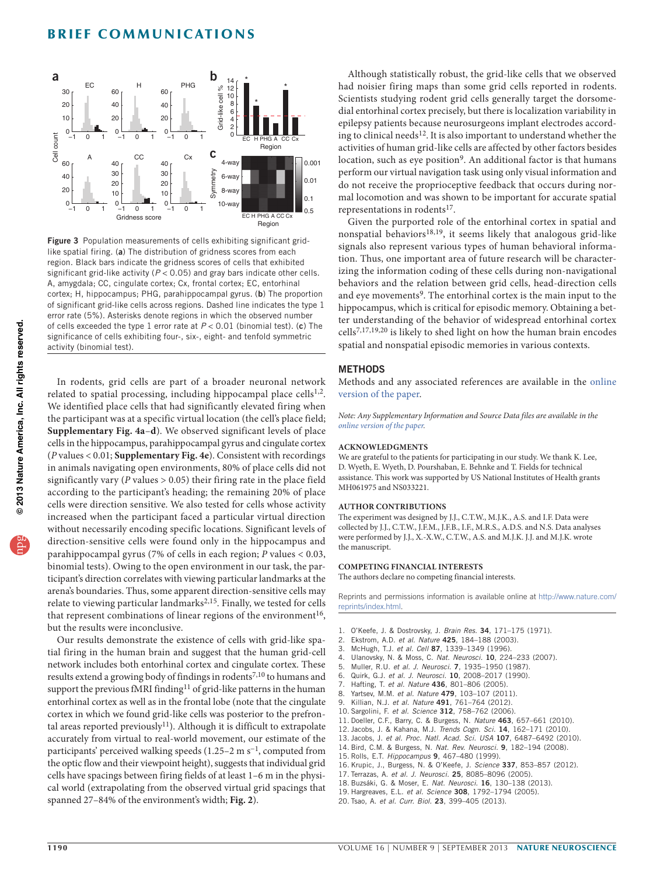# **BRIEF COMMUNICATIONS**



<span id="page-2-11"></span>Figure 3 Population measurements of cells exhibiting significant gridlike spatial firing. (a) The distribution of gridness scores from each region. Black bars indicate the gridness scores of cells that exhibited significant grid-like activity (*P* < 0.05) and gray bars indicate other cells. A, amygdala; CC, cingulate cortex; Cx, frontal cortex; EC, entorhinal cortex; H, hippocampus; PHG, parahippocampal gyrus. (b) The proportion of significant grid-like cells across regions. Dashed line indicates the type 1 error rate (5%). Asterisks denote regions in which the observed number of cells exceeded the type 1 error rate at *P* < 0.01 (binomial test). (c) The significance of cells exhibiting four-, six-, eight- and tenfold symmetric activity (binomial test).

In rodents, grid cells are part of a broader neuronal network related to spatial processing, including hippocampal place cells $1,2$  $1,2$ . We identified place cells that had significantly elevated firing when the participant was at a specific virtual location (the cell's place field; **Supplementary Fig. 4a**–**d**). We observed significant levels of place cells in the hippocampus, parahippocampal gyrus and cingulate cortex (*P* values < 0.01; **Supplementary Fig. 4e**). Consistent with recordings in animals navigating open environments, 80% of place cells did not significantly vary (*P* values > 0.05) their firing rate in the place field according to the participant's heading; the remaining 20% of place cells were direction sensitive. We also tested for cells whose activity increased when the participant faced a particular virtual direction without necessarily encoding specific locations. Significant levels of direction-sensitive cells were found only in the hippocampus and parahippocampal gyrus (7% of cells in each region; *P* values < 0.03, binomial tests). Owing to the open environment in our task, the participant's direction correlates with viewing particular landmarks at the arena's boundaries. Thus, some apparent direction-sensitive cells may relate to viewing particular landmarks<sup>[2,](#page-2-1)[15](#page-2-13)</sup>. Finally, we tested for cells that represent combinations of linear regions of the environment<sup>[16](#page-2-14)</sup>, but the results were inconclusive.

Our results demonstrate the existence of cells with grid-like spatial firing in the human brain and suggest that the human grid-cell network includes both entorhinal cortex and cingulate cortex. These results extend a growing body of findings in rodents<sup>[7,](#page-2-6)10</sup> to humans and support the previous fMRI finding<sup>11</sup> of grid-like patterns in the human entorhinal cortex as well as in the frontal lobe (note that the cingulate cortex in which we found grid-like cells was posterior to the prefrontal areas reported previously<sup>11</sup>). Although it is difficult to extrapolate accurately from virtual to real-world movement, our estimate of the participants' perceived walking speeds (1.25–2 m s−1, computed from the optic flow and their viewpoint height), suggests that individual grid cells have spacings between firing fields of at least 1–6 m in the physical world (extrapolating from the observed virtual grid spacings that spanned 27–84% of the environment's width; **[Fig. 2](#page-1-0)**).

Although statistically robust, the grid-like cells that we observed had noisier firing maps than some grid cells reported in rodents. Scientists studying rodent grid cells generally target the dorsomedial entorhinal cortex precisely, but there is localization variability in epilepsy patients because neurosurgeons implant electrodes accord-ing to clinical needs<sup>[12](#page-2-8)</sup>. It is also important to understand whether the activities of human grid-like cells are affected by other factors besides location, such as eye position<sup>9</sup>. An additional factor is that humans perform our virtual navigation task using only visual information and do not receive the proprioceptive feedback that occurs during normal locomotion and was shown to be important for accurate spatial representations in rodents<sup>[17](#page-2-15)</sup>.

Given the purported role of the entorhinal cortex in spatial and nonspatial behaviors<sup>18,[19](#page-2-16)</sup>, it seems likely that analogous grid-like signals also represent various types of human behavioral information. Thus, one important area of future research will be characterizing the information coding of these cells during non-navigational behaviors and the relation between grid cells, head-direction cells and eye movements<sup>9</sup>. The entorhinal cortex is the main input to the hippocampus, which is critical for episodic memory. Obtaining a better understanding of the behavior of widespread entorhinal cortex cells[7,](#page-2-6)[17,](#page-2-14)[19,](#page-2-16)[20](#page-2-17) is likely to shed light on how the human brain encodes spatial and nonspatial episodic memories in various contexts.

### **METHODS**

Methods and any associated references are available in the [online](http://www.nature.com/doifinder/10.1038/nn.3466) [version](http://www.nature.com/doifinder/10.1038/nn.3466) of the paper.

*Note: Any Supplementary Information and Source Data files are available in the online [version](http://www.nature.com/doifinder/10.1038/nn.3466) of the paper.*

#### **Acknowledgments**

We are grateful to the patients for participating in our study. We thank K. Lee, D. Wyeth, E. Wyeth, D. Pourshaban, E. Behnke and T. Fields for technical assistance. This work was supported by US National Institutes of Health grants MH061975 and NS033221.

#### **AUTHOR CONTRIBUTIONS**

The experiment was designed by J.J., C.T.W., M.J.K., A.S. and I.F. Data were collected by J.J., C.T.W., J.F.M., J.F.B., I.F., M.R.S., A.D.S. and N.S. Data analyses were performed by J.J., X.-X.W., C.T.W., A.S. and M.J.K. J.J. and M.J.K. wrote the manuscript.

#### **COMPETING FINANCIAL INTERESTS**

The authors declare no competing financial interests.

Reprints and permissions information is available online at [http://www.nature.com/](http://www.nature.com/reprints/index.html) [reprints/index.html.](http://www.nature.com/reprints/index.html)

- <span id="page-2-0"></span>1. O'Keefe, J. & Dostrovsky, J. *Brain Res.* 34, 171–175 (1971).
- <span id="page-2-1"></span>2. Ekstrom, A.D. *et al. Nature* 425, 184–188 (2003).
- <span id="page-2-2"></span>3. McHugh, T.J. *et al. Cell* 87, 1339–1349 (1996).
- <span id="page-2-3"></span>4. Ulanovsky, N. & Moss, C. *Nat. Neurosci.* 10, 224–233 (2007).
- <span id="page-2-4"></span>5. Muller, R.U. *et al. J. Neurosci.* 7, 1935–1950 (1987).
- <span id="page-2-5"></span>6. Quirk, G.J. *et al. J. Neurosci.* 10, 2008–2017 (1990).
- <span id="page-2-6"></span>7. Hafting, T. *et al. Nature* 436, 801–806 (2005).
- 8. Yartsev, M.M. *et al. Nature* 479, 103–107 (2011).
- <span id="page-2-12"></span>9. Killian, N.J. *et al. Nature* 491, 761–764 (2012).
- <span id="page-2-10"></span>10. Sargolini, F. *et al. Science* 312, 758–762 (2006).
- <span id="page-2-7"></span>11. Doeller, C.F., Barry, C. & Burgess, N. *Nature* 463, 657–661 (2010).
- <span id="page-2-8"></span>12. Jacobs, J. & Kahana, M.J. *Trends Cogn. Sci.* 14, 162–171 (2010).
- <span id="page-2-9"></span>13. Jacobs, J. *et al. Proc. Natl. Acad. Sci. USA* 107, 6487–6492 (2010).
- 14. Bird, C.M. & Burgess, N. *Nat. Rev. Neurosci.* 9, 182–194 (2008).
- <span id="page-2-13"></span>15. Rolls, E.T. *Hippocampus* 9, 467–480 (1999).
- <span id="page-2-14"></span>16. Krupic, J., Burgess, N. & O'Keefe, J. *Science* 337, 853–857 (2012).
- <span id="page-2-15"></span>17. Terrazas, A. *et al. J. Neurosci.* 25, 8085–8096 (2005).
- 18. Buzsáki, G. & Moser, E. *Nat. Neurosci.* 16, 130–138 (2013).
- <span id="page-2-16"></span>19. Hargreaves, E.L. *et al. Science* 308, 1792–1794 (2005).
- <span id="page-2-17"></span>20. Tsao, A. *et al. Curr. Biol.* 23, 399–405 (2013).